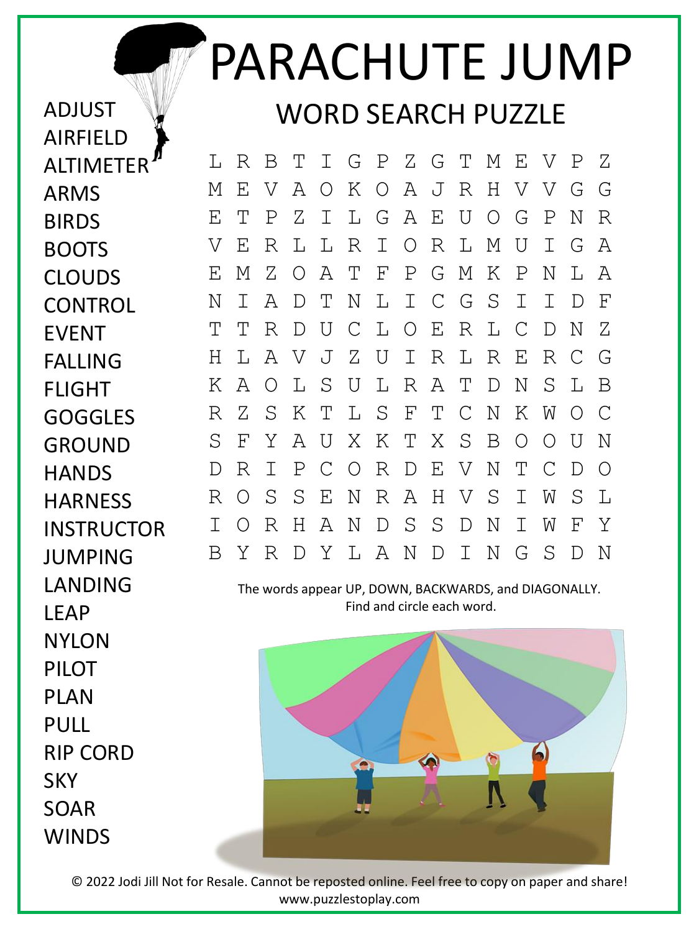## PARACHUTE JUMP WORD SEARCH PUZZLE

L R B T I G P Z G T M E V P Z M E V A O K O A J R H V V G G E T P Z I L G A E U O G P N R V E R L L R I O R L M U I G A E M Z O A T F P G M K P N L A N I A D T N L I C G S I I D F T T R D U C L O E R L C D N Z H L A V J Z U I R L R E R C G K A O L S U L R A T D N S L B R Z S K T L S F T C N K W O C S F Y A U X K T X S B O O U N D R I P C O R D E V N T C D O R O S S E N R A H V S I W S L I O R H A N D S S D N I W F Y B Y R D Y L A N D I N G S D N

The words appear UP, DOWN, BACKWARDS, and DIAGONALLY. Find and circle each word.



FLIGHT **GOGGLES** GROUND **HANDS HARNESS** INSTRUCTOR JUMPING **LANDING** LEAP **NYLON** PILOT PLAN PULL RIP CORD **SKY** SOAR **WINDS** 

ADJUST

ARMS

BIRDS

BOOTS

EVENT

FALLING

CLOUDS

**CONTROL** 

AIRFIELD

**ALTIMETER** 

© 2022 Jodi Jill Not for Resale. Cannot be reposted online. Feel free to copy on paper and share! www.puzzlestoplay.com